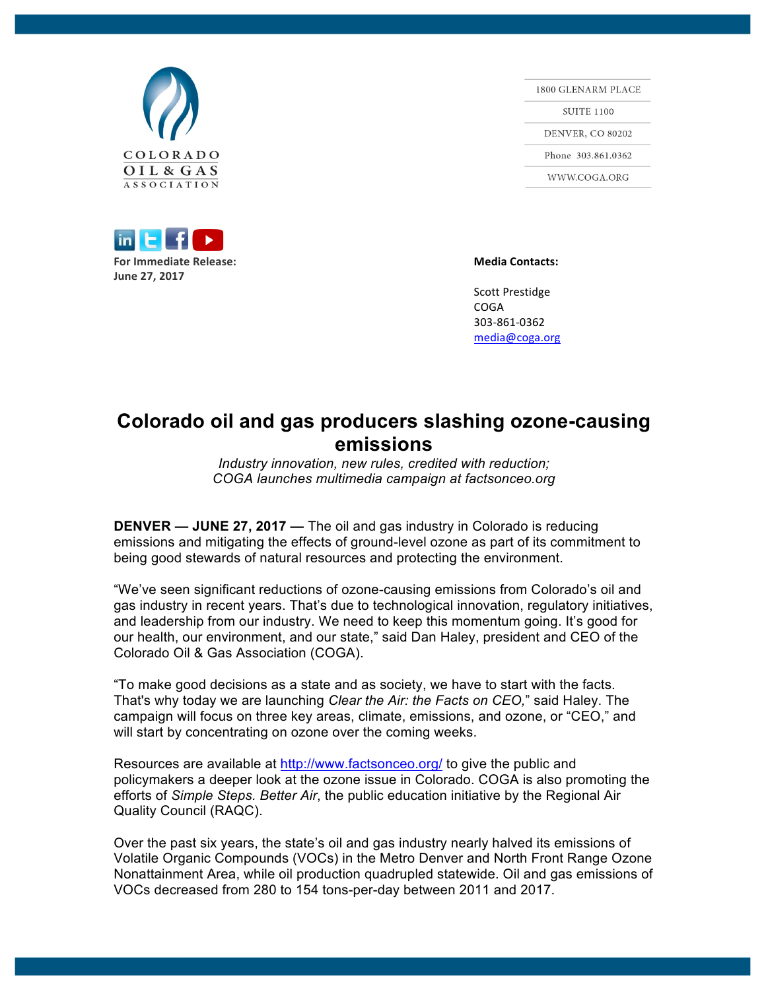



1800 GLENARM PLACE **SUITE 1100 DENVER, CO 80202** Phone 303.861.0362 WWW.COGA.ORG

Scott Prestidge COGA 303-861-0362 media@coga.org

## **Colorado oil and gas producers slashing ozone-causing emissions**

*Industry innovation, new rules, credited with reduction; COGA launches multimedia campaign at factsonceo.org*

**DENVER — JUNE 27, 2017 —** The oil and gas industry in Colorado is reducing emissions and mitigating the effects of ground-level ozone as part of its commitment to being good stewards of natural resources and protecting the environment.

"We've seen significant reductions of ozone-causing emissions from Colorado's oil and gas industry in recent years. That's due to technological innovation, regulatory initiatives, and leadership from our industry. We need to keep this momentum going. It's good for our health, our environment, and our state," said Dan Haley, president and CEO of the Colorado Oil & Gas Association (COGA).

"To make good decisions as a state and as society, we have to start with the facts. That's why today we are launching *Clear the Air: the Facts on CEO,*" said Haley. The campaign will focus on three key areas, climate, emissions, and ozone, or "CEO," and will start by concentrating on ozone over the coming weeks.

Resources are available at http://www.factsonceo.org/ to give the public and policymakers a deeper look at the ozone issue in Colorado. COGA is also promoting the efforts of *Simple Steps. Better Air*, the public education initiative by the Regional Air Quality Council (RAQC).

Over the past six years, the state's oil and gas industry nearly halved its emissions of Volatile Organic Compounds (VOCs) in the Metro Denver and North Front Range Ozone Nonattainment Area, while oil production quadrupled statewide. Oil and gas emissions of VOCs decreased from 280 to 154 tons-per-day between 2011 and 2017.